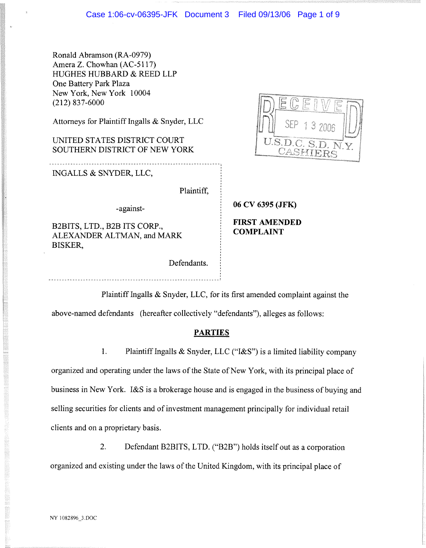Ronald Abramson (RA-0979) Amera Z. Chowhan (AC-5117) HUGHES HUBBARD & REED LLP One Battery Park Plaza New York, New York 10004 (212) 837-6000

Attorneys for Plaintiff Ingalls & Snyder, LLC

UNITED STATES DISTRICT COURT SOUTHERN DISTRICT OF NEW YORK

INGALLS & SNYDER, LLC,

Plaintiff,

-against-

B2BITS, LTD., B2B ITS CORP., ALEXANDER ALTMAN, and MARK BISKER,

Defendants.

 $J.S.D.$ 

**06 CV 6395 (JFK)**

**FIRST AMENDED COMPLAINT**

Plaintiff Ingalls & Snyder, LLC, for its first amended complaint against the

above-named defendants (hereafter collectively "defendants"), alleges as follows:

## **PARTIES**

1. Plaintiff Ingalls & Snyder, LLC ("I&S") is a limited liability company

organized and operating under the laws of the State of New York, with its principal place of business in New York. I&S is a brokerage house and is engaged in the business of buying and selling securities for clients and of investment management principally for individual retail clients and on a proprietary basis.

2. Defendant B2BITS, LTD. ("B2B") holds itself out as a corporation organized and existing under the laws of the United Kingdom, with its principal place of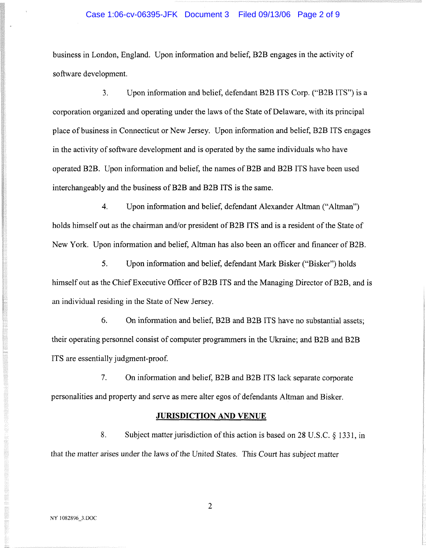## Case 1:06-cv-06395-JFK Document 3 Filed 09/13/06 Page 2 of 9

business in London, England. Upon information and belief, B2B engages in the activity of software development.

3. Upon information and belief, defendant B2B ITS Corp. ("B2B ITS") is a corporation organized and operating under the laws of the State of Delaware, with its principal place of business in Connecticut or New Jersey. Upon information and belief, B2B ITS engages in the activity of software development and is operated by the same individuals who have operated B2B. Upon information and belief, the names of B2B and B2B ITS have been used interchangeably and the business of B2B and B2B ITS is the same.

4. Upon information and belief, defendant Alexander Altman ("Altman") holds himself out as the chairman and/or president of B2B ITS and is a resident of the State of New York. Upon information and belief, Altman has also been an officer and financer of B2B.

5. Upon information and belief, defendant Mark Bisker ("Bisker") holds himself out as the Chief Executive Officer of B2B ITS and the Managing Director of B2B, and is an individual residing in the State of New Jersey.

6. On information and belief, B2B and B2B ITS have no substantial assets; their operating personnel consist of computer programmers in the Ukraine; and B2B and B2B ITS are essentially judgment-proof.

7. On information and belief, B2B and B2B ITS lack separate corporate personalities and property and serve as mere alter egos of defendants Altman and Bisker.

#### **JURISDICTION AND** VENUE

8. Subject matter jurisdiction of this action is based on 28 U.S.C. § 1331, in that the matter arises under the laws of the United States. This Court has subject matter

 $\overline{2}$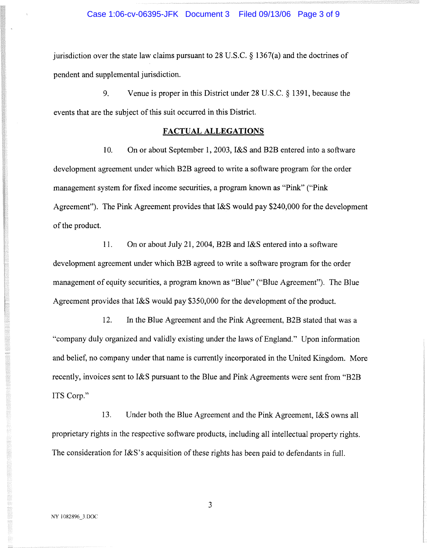### Case 1:06-cv-06395-JFK Document 3 Filed 09/13/06 Page 3 of 9

jurisdiction over the state law claims pursuant to 28 U.S.C.  $\S$  1367(a) and the doctrines of pendent and supplemental jurisdiction.

9. Venue is proper in this District under 28 U.S.C. § 1391, because the events that are the subject of this suit occurred in this District.

## **FACTUAL ALLEGATIONS**

10. On or about September 1, 2003, I&S and B2B entered into a software development agreement under which B2B agreed to write a software program for the order management system for fixed income securities, a program known as "Pink" ("Pink Agreement"). The Pink Agreement provides that I&S would pay \$240,000 for the development of the product.

11. On or about July 21, 2004, B2B and I&S entered into a software development agreement under which B2B agreed to write a software program for the order management of equity securities, a program known as "Blue" ("Blue Agreement"). The Blue Agreement provides that I&S would pay \$350,000 for the development of the product.

12. In the Blue Agreement and the Pink Agreement, B2B stated that was a "company duly organized and validly existing under the laws of England." Upon information and belief, no company under that name is currently incorporated in the United Kingdom. More recently, invoices sent to I&S pursuant to the Blue and Pink Agreements were sent from "B2B ITS Corp."

13. Under both the Blue Agreement and the Pink Agreement, I&S owns all proprietary rights in the respective software products, including all intellectual property rights. The consideration for I&S's acquisition of these rights has been paid to defendants in full.

 $\overline{3}$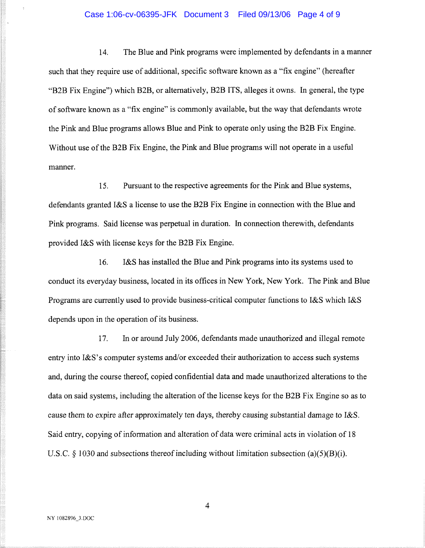### Case 1:06-cv-06395-JFK Document 3 Filed 09/13/06 Page 4 of 9

14. The Blue and Pink programs were implemented by defendants in a manner such that they require use of additional, specific software known as a "fix engine" (hereafter "B2B Fix Engine") which B2B, or alternatively, B2B ITS, alleges it owns. In general, the type of software known as a "fix engine" is commonly available, but the way that defendants wrote the Pink and Blue programs allows Blue and Pink to operate only using the B2B Fix Engine. Without use of the B2B Fix Engine, the Pink and Blue programs will not operate in a useful manner.

15. Pursuant to the respective agreements for the Pink and Blue systems, defendants granted I&S a license to use the B2B Fix Engine in connection with the Blue and Pink programs. Said license was perpetual in duration. In connection therewith, defendants provided I&S with license keys for the B2B Fix Engine.

16. I&S has installed the Blue and Pink programs into its systems used to conduct its everyday business, located in its offices in New York, New York. The Pink and Blue Programs are currently used to provide business-critical computer functions to I&S which I&S depends upon in the operation of its business.

17. hi or around July 2006, defendants made unauthorized and illegal remote entry into I&S's computer systems and/or exceeded their authorization to access such systems and, during the course thereof, copied confidential data and made unauthorized alterations to the data on said systems, including the alteration of the license keys for the B2B Fix Engine so as to cause them to expire after approximately ten days, thereby causing substantial damage to I&S. Said entry, copying of information and alteration of data were criminal acts in violation of 18 U.S.C.  $\delta$  1030 and subsections thereof including without limitation subsection (a)(5)(B)(i).

 $\overline{4}$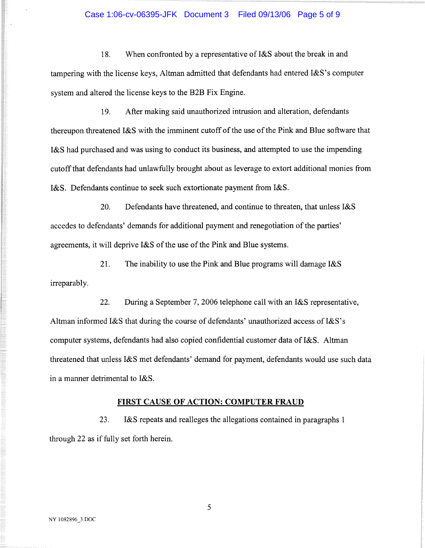## Case 1:06-cv-06395-JFK Document 3 Filed 09/13/06 Page 5 of 9

18. When confronted by a representative of I&S about the break in and tampering with the license keys, Altman admitted that defendants had entered I&S's computer system and altered the license keys to the B2B Fix Engine.

19. After making said unauthorized intrusion and alteration, defendants thereupon threatened I&S with the imminent cutoff of the use of the Pink and Blue software that I&S had purchased and was using to conduct its business, and attempted to use the impending cutoff that defendants had unlawfully brought about as leverage to extort additional monies from I&S. Defendants continue to seek such extortionate payment from I&S.

20. Defendants have threatened, and continue to threaten, that unless I&S accedes to defendants' demands for additional payment and renegotiation of the parties' agreements, it will deprive I&S of the use of the Pink and Blue systems.

21. The inability to use the Pink and Blue programs will damage I&S irreparably.

22. During a September 7, 2006 telephone call with an I&S representative, Altman informed I&S that during the course of defendants' unauthorized access of I&S's computer systems, defendants had also copied confidential customer data of I&S. Altman threatened that unless I&S met defendants' demand for payment, defendants would use such data in a manner detrimental to I&S.

## **FIRST** CAUSE **OF ACTION: COMPUTER FRAUD**

23. I&S repeats and realleges the allegations contained in paragraphs 1 through 22 as if fully set forth herein.

5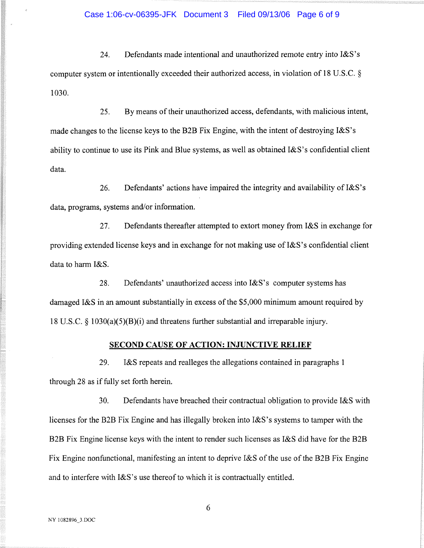#### Case 1:06-cv-06395-JFK Document 3 Filed 09/13/06 Page 6 of 9

24. Defendants made intentional and unauthorized remote entry into  $1\&S$ 's computer system or intentionally exceeded their authorized access, in violation of 18 U.S.C. § 1030.

25. By means of their unauthorized access, defendants, with malicious intent, made changes to the license keys to the B2B Fix Engine, with the intent of destroying I&S's ability to continue to use its Pink and Blue systems, as well as obtained  $1\&S$ 's confidential client data.

26. Defendants' actions have impaired the integrity and availability of I&S's data, programs, systems and/or information.

27. Defendants thereafter attempted to extort money from I&S in exchange for providing extended license keys and in exchange for not making use of I&S's confidential client data to harm I&S.

28. Defendants'unauthorized access into I&S's computer systems has damaged I&S in an amount substantially in excess of the \$5,000 minimum amount required by 18 U.S.C. § 1030(a)(5)(B)(i) and threatens further substantial and irreparable injury.

# **SECOND** CAUSE **OF ACTION: INJUNCTIVE RELIEF**

29. I&S repeats and realleges the allegations contained in paragraphs 1 through 28 as if fully set forth herein.

30. Defendants have breached their contractual obligation to provide I&S with licenses for the B2B Fix Engine and has illegally broken into I&S's systems to tamper with the B2B Fix Engine license keys with the intent to render such licenses as I&S did have for the B2B Fix Engine nonfunctional, manifesting an intent to deprive I&S of the use of the B2B Fix Engine and to interfere with I&S's use thereof to which it is contractually entitled.

6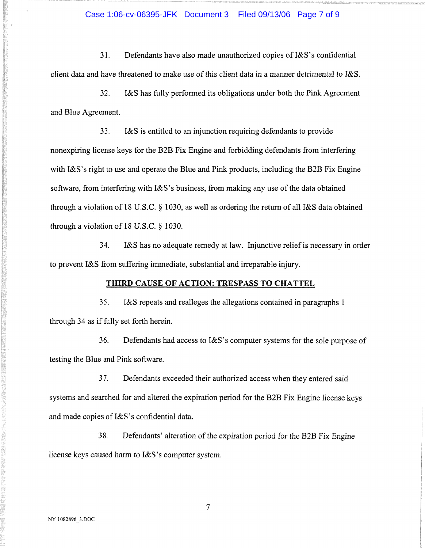#### Case 1:06-cv-06395-JFK Document 3 Filed 09/13/06 Page 7 of 9

31. Defendants have also made unauthorized copies of I&S's confidential client data and have threatened to make use of this client data in a manner detrimental to I&S.

32. I&S has fully performed its obligations under both the Pink Agreement and Blue Agreement.

33. I&S is entitled to an injunction requiring defendants to provide nonexpiring license keys for the B2B Fix Engine and forbidding defendants from interfering with I&S's right to use and operate the Blue and Pink products, including the B2B Fix Engine software, from interfering with I&S's business, from making any use of the data obtained through a violation of 18 U.S.C. § 1030, as well as ordering the return of all I&S data obtained through a violation of 18 U.S.C. § 1030.

34. I&S has no adequate remedy at law. Injunctive relief is necessary in order to prevent I&S from suffering immediate, substantial and irreparable injury.

## **THIRD CAUSE OF ACTION: TRESPASS TO CHATTEL**

35. I&S repeats and realleges the allegations contained in paragraphs 1 through 34 as if fully set forth herein.

36. Defendants had access to I&S's computer systems for the sole purpose of testing the Blue and Pink software.

37. Defendants exceeded their authorized access when they entered said systems and searched for and altered the expiration period for the B2B Fix Engine license keys and made copies of I&S's confidential data.

38. Defendants' alteration of the expiration period for the B2B Fix Engine license keys caused harm to I&S's computer system.

 $\overline{7}$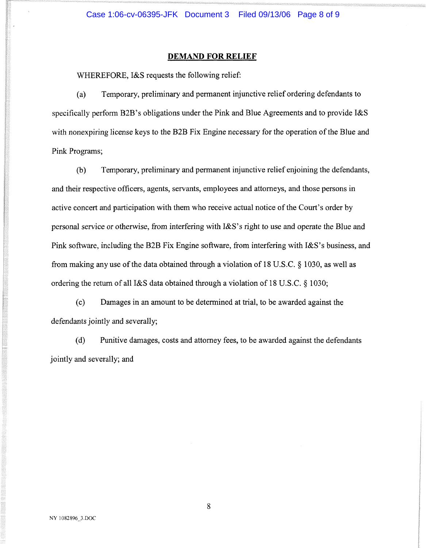### **DEMAND FOR RELIEF**

WHEREFORE, I&S requests the following relief:

(a) Temporary, preliminary and permanent injunctive relief ordering defendants to specifically perform B2B's obligations under the Pink and Blue Agreements and to provide I&S with nonexpiring license keys to the B2B Fix Engine necessary for the operation of the Blue and Pink Programs;

(b) Temporary, preliminary and permanent injunctive relief enjoining the defendants, and their respective officers, agents, servants, employees and attorneys, and those persons in active concert and participation with them who receive actual notice of the Court's order by personal service or otherwise, from interfering with I&S's right to use and operate the Blue and Pink software, including the B2B Fix Engine software, from interfering with I&S's business, and from making any use of the data obtained through a violation of 18 U.S.C. § 1030, as well as ordering the return of all I&S data obtained through a violation of 18 U.S.C. § 1030;

(c) Damages in an amount to be determined at trial, to be awarded against the defendants jointly and severally;

(d) Punitive damages, costs and attorney fees, to be awarded against the defendants jointly and severally; and

8